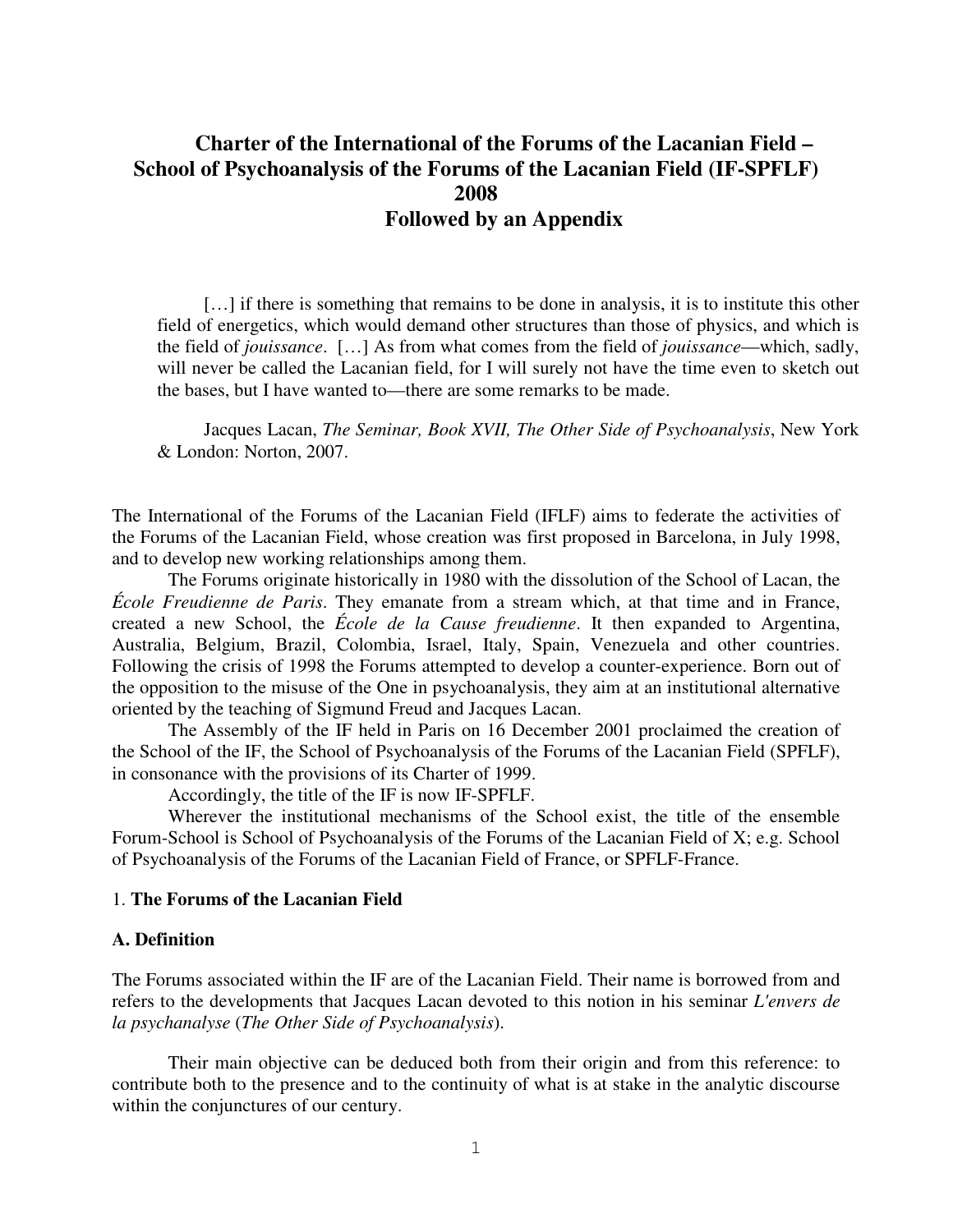# **Charter of the International of the Forums of the Lacanian Field – School of Psychoanalysis of the Forums of the Lacanian Field (IF-SPFLF) 2008 Followed by an Appendix**

[...] if there is something that remains to be done in analysis, it is to institute this other field of energetics, which would demand other structures than those of physics, and which is the field of *jouissance*. […] As from what comes from the field of *jouissance*—which, sadly, will never be called the Lacanian field, for I will surely not have the time even to sketch out the bases, but I have wanted to—there are some remarks to be made.

Jacques Lacan, *The Seminar, Book XVII, The Other Side of Psychoanalysis*, New York & London: Norton, 2007.

The International of the Forums of the Lacanian Field (IFLF) aims to federate the activities of the Forums of the Lacanian Field, whose creation was first proposed in Barcelona, in July 1998, and to develop new working relationships among them.

The Forums originate historically in 1980 with the dissolution of the School of Lacan, the *École Freudienne de Paris*. They emanate from a stream which, at that time and in France, created a new School, the *École de la Cause freudienne*. It then expanded to Argentina, Australia, Belgium, Brazil, Colombia, Israel, Italy, Spain, Venezuela and other countries. Following the crisis of 1998 the Forums attempted to develop a counter-experience. Born out of the opposition to the misuse of the One in psychoanalysis, they aim at an institutional alternative oriented by the teaching of Sigmund Freud and Jacques Lacan.

The Assembly of the IF held in Paris on 16 December 2001 proclaimed the creation of the School of the IF, the School of Psychoanalysis of the Forums of the Lacanian Field (SPFLF), in consonance with the provisions of its Charter of 1999.

Accordingly, the title of the IF is now IF-SPFLF.

Wherever the institutional mechanisms of the School exist, the title of the ensemble Forum-School is School of Psychoanalysis of the Forums of the Lacanian Field of X; e.g. School of Psychoanalysis of the Forums of the Lacanian Field of France, or SPFLF-France.

# 1. **The Forums of the Lacanian Field**

#### **A. Definition**

The Forums associated within the IF are of the Lacanian Field. Their name is borrowed from and refers to the developments that Jacques Lacan devoted to this notion in his seminar *L'envers de la psychanalyse* (*The Other Side of Psychoanalysis*).

Their main objective can be deduced both from their origin and from this reference: to contribute both to the presence and to the continuity of what is at stake in the analytic discourse within the conjunctures of our century.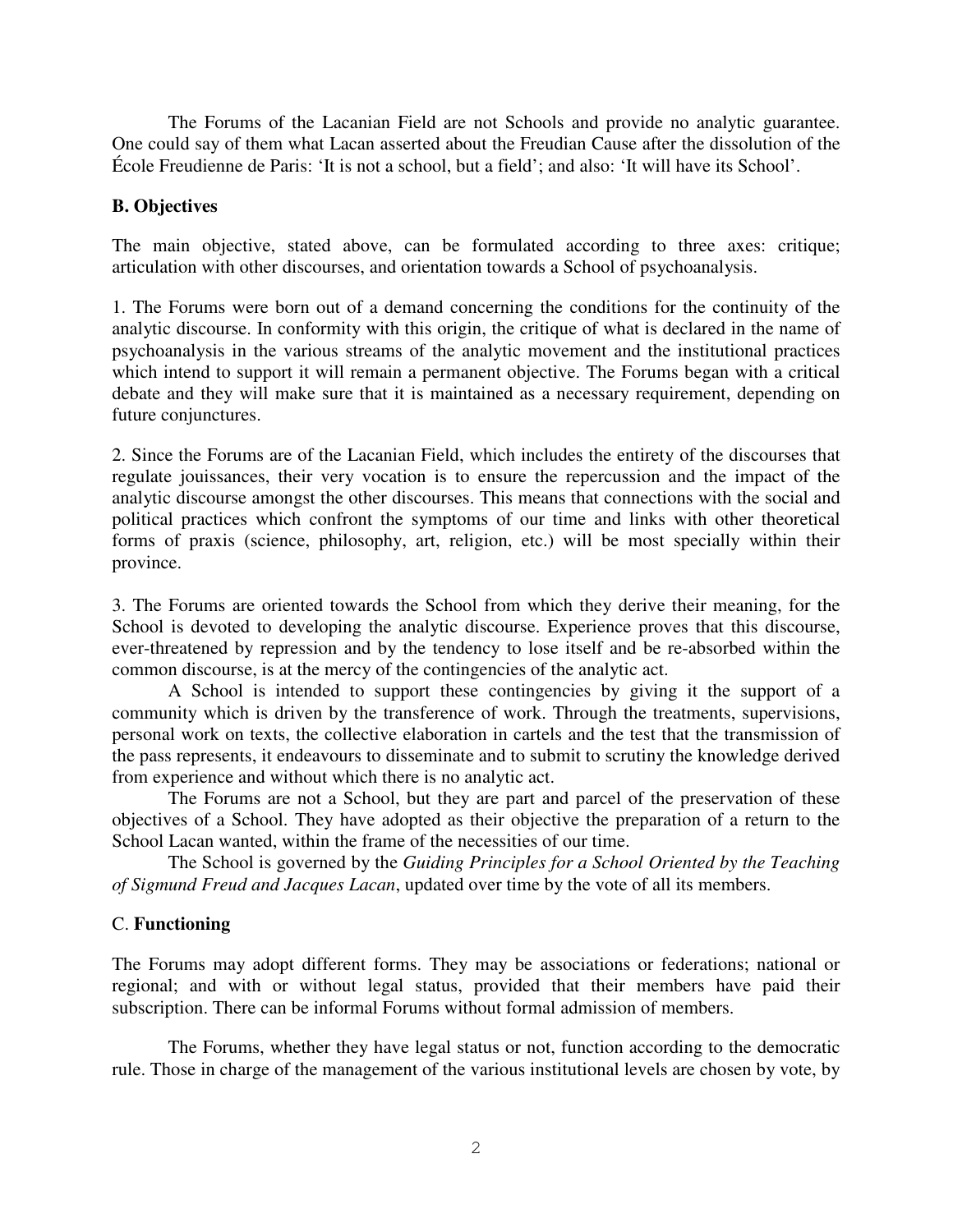The Forums of the Lacanian Field are not Schools and provide no analytic guarantee. One could say of them what Lacan asserted about the Freudian Cause after the dissolution of the École Freudienne de Paris: 'It is not a school, but a field'; and also: 'It will have its School'.

### **B. Objectives**

The main objective, stated above, can be formulated according to three axes: critique; articulation with other discourses, and orientation towards a School of psychoanalysis.

1. The Forums were born out of a demand concerning the conditions for the continuity of the analytic discourse. In conformity with this origin, the critique of what is declared in the name of psychoanalysis in the various streams of the analytic movement and the institutional practices which intend to support it will remain a permanent objective. The Forums began with a critical debate and they will make sure that it is maintained as a necessary requirement, depending on future conjunctures.

2. Since the Forums are of the Lacanian Field, which includes the entirety of the discourses that regulate jouissances, their very vocation is to ensure the repercussion and the impact of the analytic discourse amongst the other discourses. This means that connections with the social and political practices which confront the symptoms of our time and links with other theoretical forms of praxis (science, philosophy, art, religion, etc.) will be most specially within their province.

3. The Forums are oriented towards the School from which they derive their meaning, for the School is devoted to developing the analytic discourse. Experience proves that this discourse, ever-threatened by repression and by the tendency to lose itself and be re-absorbed within the common discourse, is at the mercy of the contingencies of the analytic act.

A School is intended to support these contingencies by giving it the support of a community which is driven by the transference of work. Through the treatments, supervisions, personal work on texts, the collective elaboration in cartels and the test that the transmission of the pass represents, it endeavours to disseminate and to submit to scrutiny the knowledge derived from experience and without which there is no analytic act.

The Forums are not a School, but they are part and parcel of the preservation of these objectives of a School. They have adopted as their objective the preparation of a return to the School Lacan wanted, within the frame of the necessities of our time.

The School is governed by the *Guiding Principles for a School Oriented by the Teaching of Sigmund Freud and Jacques Lacan*, updated over time by the vote of all its members.

# C. **Functioning**

The Forums may adopt different forms. They may be associations or federations; national or regional; and with or without legal status, provided that their members have paid their subscription. There can be informal Forums without formal admission of members.

The Forums, whether they have legal status or not, function according to the democratic rule. Those in charge of the management of the various institutional levels are chosen by vote, by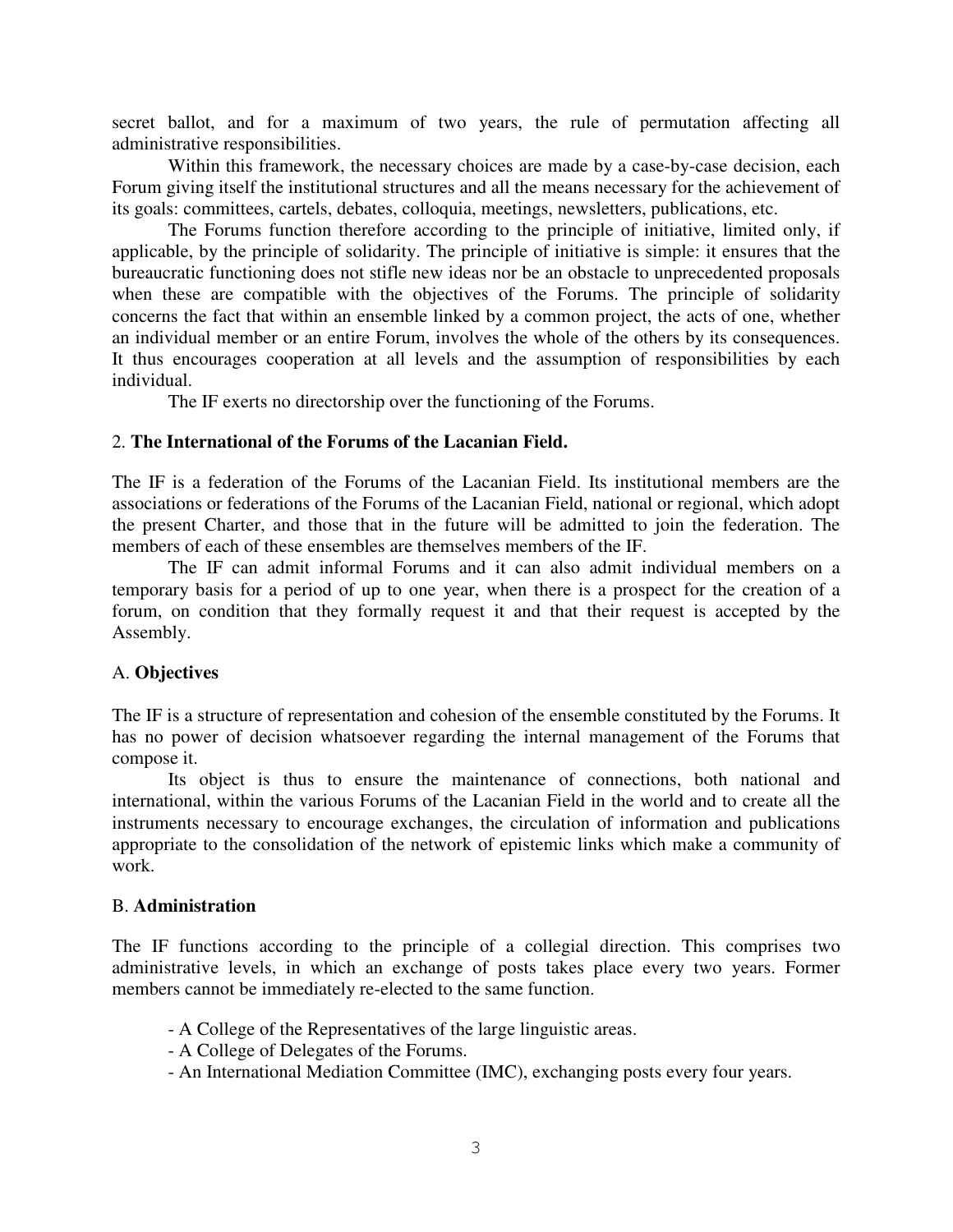secret ballot, and for a maximum of two years, the rule of permutation affecting all administrative responsibilities.

Within this framework, the necessary choices are made by a case-by-case decision, each Forum giving itself the institutional structures and all the means necessary for the achievement of its goals: committees, cartels, debates, colloquia, meetings, newsletters, publications, etc.

The Forums function therefore according to the principle of initiative, limited only, if applicable, by the principle of solidarity. The principle of initiative is simple: it ensures that the bureaucratic functioning does not stifle new ideas nor be an obstacle to unprecedented proposals when these are compatible with the objectives of the Forums. The principle of solidarity concerns the fact that within an ensemble linked by a common project, the acts of one, whether an individual member or an entire Forum, involves the whole of the others by its consequences. It thus encourages cooperation at all levels and the assumption of responsibilities by each individual.

The IF exerts no directorship over the functioning of the Forums.

### 2. **The International of the Forums of the Lacanian Field.**

The IF is a federation of the Forums of the Lacanian Field. Its institutional members are the associations or federations of the Forums of the Lacanian Field, national or regional, which adopt the present Charter, and those that in the future will be admitted to join the federation. The members of each of these ensembles are themselves members of the IF.

The IF can admit informal Forums and it can also admit individual members on a temporary basis for a period of up to one year, when there is a prospect for the creation of a forum, on condition that they formally request it and that their request is accepted by the Assembly.

# A. **Objectives**

The IF is a structure of representation and cohesion of the ensemble constituted by the Forums. It has no power of decision whatsoever regarding the internal management of the Forums that compose it.

Its object is thus to ensure the maintenance of connections, both national and international, within the various Forums of the Lacanian Field in the world and to create all the instruments necessary to encourage exchanges, the circulation of information and publications appropriate to the consolidation of the network of epistemic links which make a community of work.

### B. **Administration**

The IF functions according to the principle of a collegial direction. This comprises two administrative levels, in which an exchange of posts takes place every two years. Former members cannot be immediately re-elected to the same function.

- A College of the Representatives of the large linguistic areas.
- A College of Delegates of the Forums.
- An International Mediation Committee (IMC), exchanging posts every four years.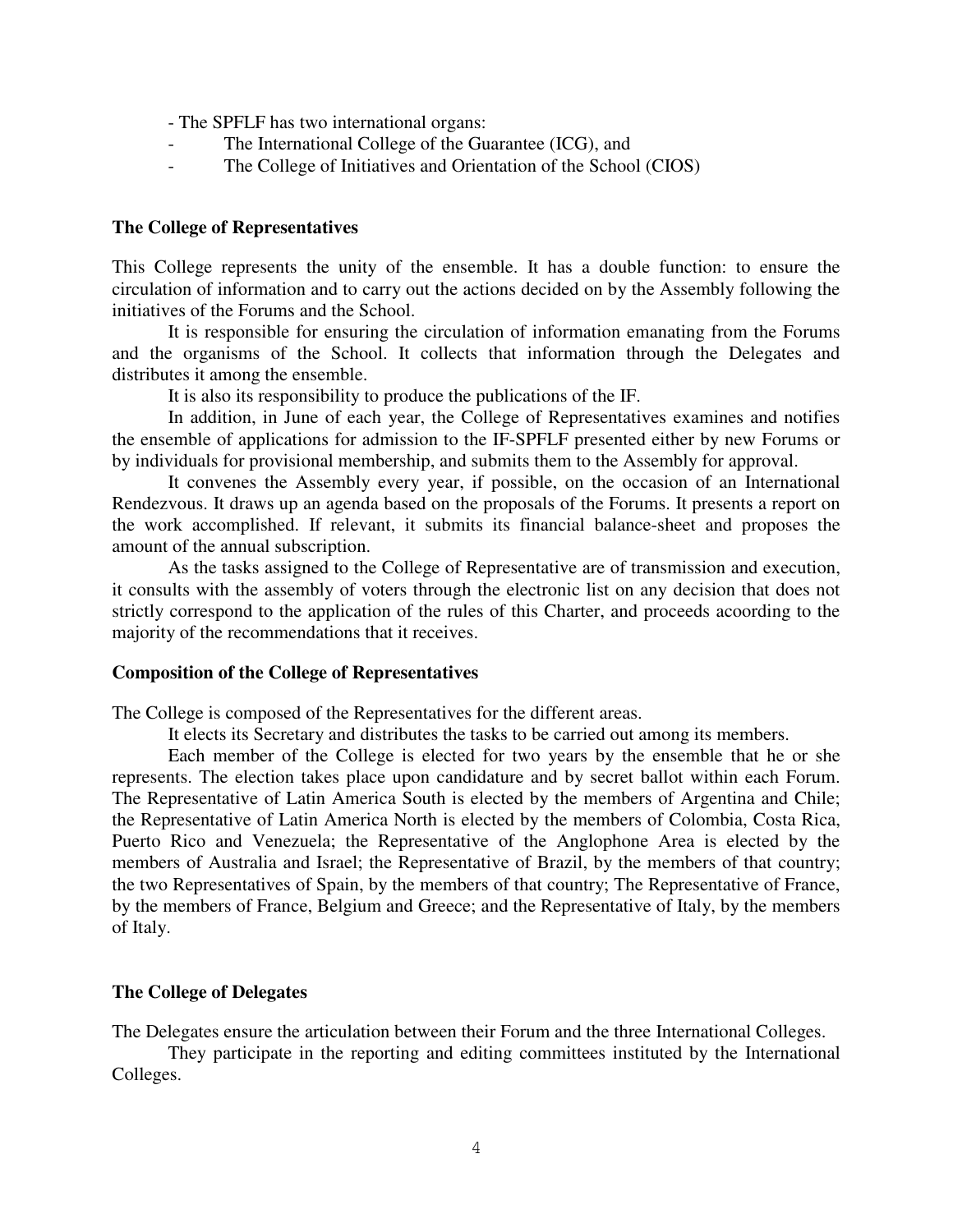- The SPFLF has two international organs:

- The International College of the Guarantee (ICG), and
- The College of Initiatives and Orientation of the School (CIOS)

#### **The College of Representatives**

This College represents the unity of the ensemble. It has a double function: to ensure the circulation of information and to carry out the actions decided on by the Assembly following the initiatives of the Forums and the School.

It is responsible for ensuring the circulation of information emanating from the Forums and the organisms of the School. It collects that information through the Delegates and distributes it among the ensemble.

It is also its responsibility to produce the publications of the IF.

In addition, in June of each year, the College of Representatives examines and notifies the ensemble of applications for admission to the IF-SPFLF presented either by new Forums or by individuals for provisional membership, and submits them to the Assembly for approval.

It convenes the Assembly every year, if possible, on the occasion of an International Rendezvous. It draws up an agenda based on the proposals of the Forums. It presents a report on the work accomplished. If relevant, it submits its financial balance-sheet and proposes the amount of the annual subscription.

As the tasks assigned to the College of Representative are of transmission and execution, it consults with the assembly of voters through the electronic list on any decision that does not strictly correspond to the application of the rules of this Charter, and proceeds acoording to the majority of the recommendations that it receives.

#### **Composition of the College of Representatives**

The College is composed of the Representatives for the different areas.

It elects its Secretary and distributes the tasks to be carried out among its members.

Each member of the College is elected for two years by the ensemble that he or she represents. The election takes place upon candidature and by secret ballot within each Forum. The Representative of Latin America South is elected by the members of Argentina and Chile; the Representative of Latin America North is elected by the members of Colombia, Costa Rica, Puerto Rico and Venezuela; the Representative of the Anglophone Area is elected by the members of Australia and Israel; the Representative of Brazil, by the members of that country; the two Representatives of Spain, by the members of that country; The Representative of France, by the members of France, Belgium and Greece; and the Representative of Italy, by the members of Italy.

#### **The College of Delegates**

The Delegates ensure the articulation between their Forum and the three International Colleges.

They participate in the reporting and editing committees instituted by the International Colleges.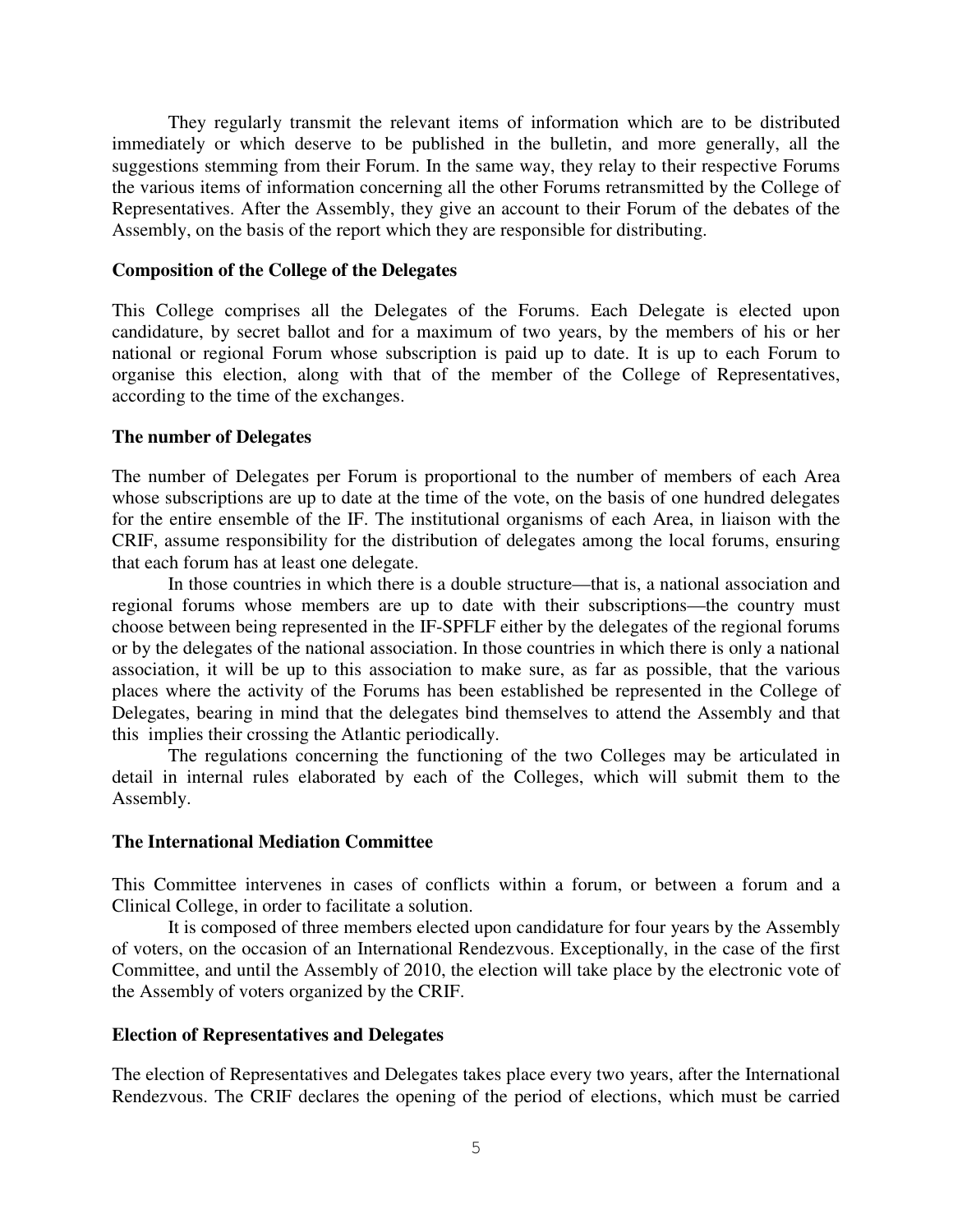They regularly transmit the relevant items of information which are to be distributed immediately or which deserve to be published in the bulletin, and more generally, all the suggestions stemming from their Forum. In the same way, they relay to their respective Forums the various items of information concerning all the other Forums retransmitted by the College of Representatives. After the Assembly, they give an account to their Forum of the debates of the Assembly, on the basis of the report which they are responsible for distributing.

#### **Composition of the College of the Delegates**

This College comprises all the Delegates of the Forums. Each Delegate is elected upon candidature, by secret ballot and for a maximum of two years, by the members of his or her national or regional Forum whose subscription is paid up to date. It is up to each Forum to organise this election, along with that of the member of the College of Representatives, according to the time of the exchanges.

#### **The number of Delegates**

The number of Delegates per Forum is proportional to the number of members of each Area whose subscriptions are up to date at the time of the vote, on the basis of one hundred delegates for the entire ensemble of the IF. The institutional organisms of each Area, in liaison with the CRIF, assume responsibility for the distribution of delegates among the local forums, ensuring that each forum has at least one delegate.

In those countries in which there is a double structure—that is, a national association and regional forums whose members are up to date with their subscriptions—the country must choose between being represented in the IF-SPFLF either by the delegates of the regional forums or by the delegates of the national association. In those countries in which there is only a national association, it will be up to this association to make sure, as far as possible, that the various places where the activity of the Forums has been established be represented in the College of Delegates, bearing in mind that the delegates bind themselves to attend the Assembly and that this implies their crossing the Atlantic periodically.

The regulations concerning the functioning of the two Colleges may be articulated in detail in internal rules elaborated by each of the Colleges, which will submit them to the Assembly.

### **The International Mediation Committee**

This Committee intervenes in cases of conflicts within a forum, or between a forum and a Clinical College, in order to facilitate a solution.

It is composed of three members elected upon candidature for four years by the Assembly of voters, on the occasion of an International Rendezvous. Exceptionally, in the case of the first Committee, and until the Assembly of 2010, the election will take place by the electronic vote of the Assembly of voters organized by the CRIF.

### **Election of Representatives and Delegates**

The election of Representatives and Delegates takes place every two years, after the International Rendezvous. The CRIF declares the opening of the period of elections, which must be carried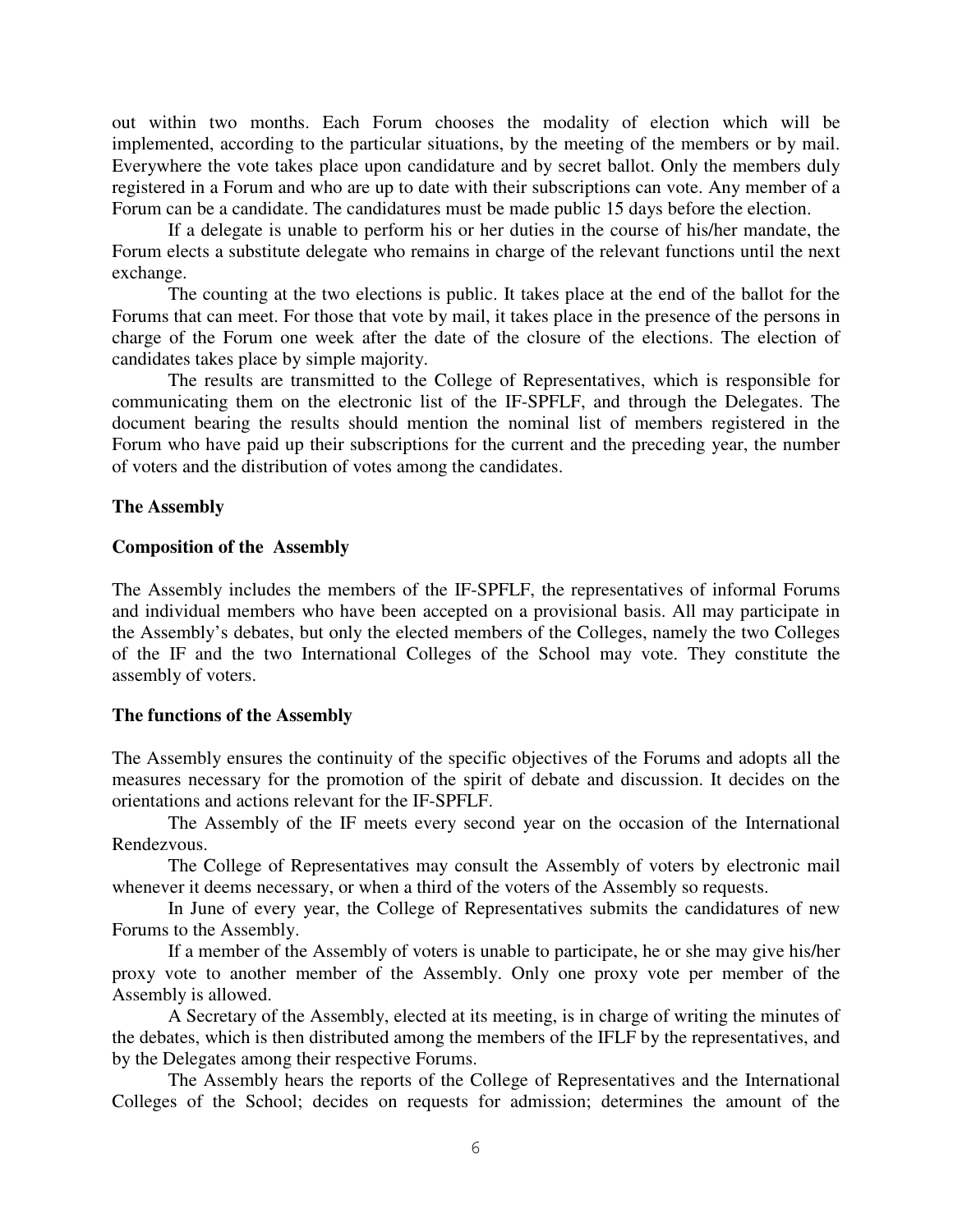out within two months. Each Forum chooses the modality of election which will be implemented, according to the particular situations, by the meeting of the members or by mail. Everywhere the vote takes place upon candidature and by secret ballot. Only the members duly registered in a Forum and who are up to date with their subscriptions can vote. Any member of a Forum can be a candidate. The candidatures must be made public 15 days before the election.

If a delegate is unable to perform his or her duties in the course of his/her mandate, the Forum elects a substitute delegate who remains in charge of the relevant functions until the next exchange.

The counting at the two elections is public. It takes place at the end of the ballot for the Forums that can meet. For those that vote by mail, it takes place in the presence of the persons in charge of the Forum one week after the date of the closure of the elections. The election of candidates takes place by simple majority.

The results are transmitted to the College of Representatives, which is responsible for communicating them on the electronic list of the IF-SPFLF, and through the Delegates. The document bearing the results should mention the nominal list of members registered in the Forum who have paid up their subscriptions for the current and the preceding year, the number of voters and the distribution of votes among the candidates.

### **The Assembly**

### **Composition of the Assembly**

The Assembly includes the members of the IF-SPFLF, the representatives of informal Forums and individual members who have been accepted on a provisional basis. All may participate in the Assembly's debates, but only the elected members of the Colleges, namely the two Colleges of the IF and the two International Colleges of the School may vote. They constitute the assembly of voters.

### **The functions of the Assembly**

The Assembly ensures the continuity of the specific objectives of the Forums and adopts all the measures necessary for the promotion of the spirit of debate and discussion. It decides on the orientations and actions relevant for the IF-SPFLF.

The Assembly of the IF meets every second year on the occasion of the International Rendezvous.

The College of Representatives may consult the Assembly of voters by electronic mail whenever it deems necessary, or when a third of the voters of the Assembly so requests.

In June of every year, the College of Representatives submits the candidatures of new Forums to the Assembly.

If a member of the Assembly of voters is unable to participate, he or she may give his/her proxy vote to another member of the Assembly. Only one proxy vote per member of the Assembly is allowed.

A Secretary of the Assembly, elected at its meeting, is in charge of writing the minutes of the debates, which is then distributed among the members of the IFLF by the representatives, and by the Delegates among their respective Forums.

The Assembly hears the reports of the College of Representatives and the International Colleges of the School; decides on requests for admission; determines the amount of the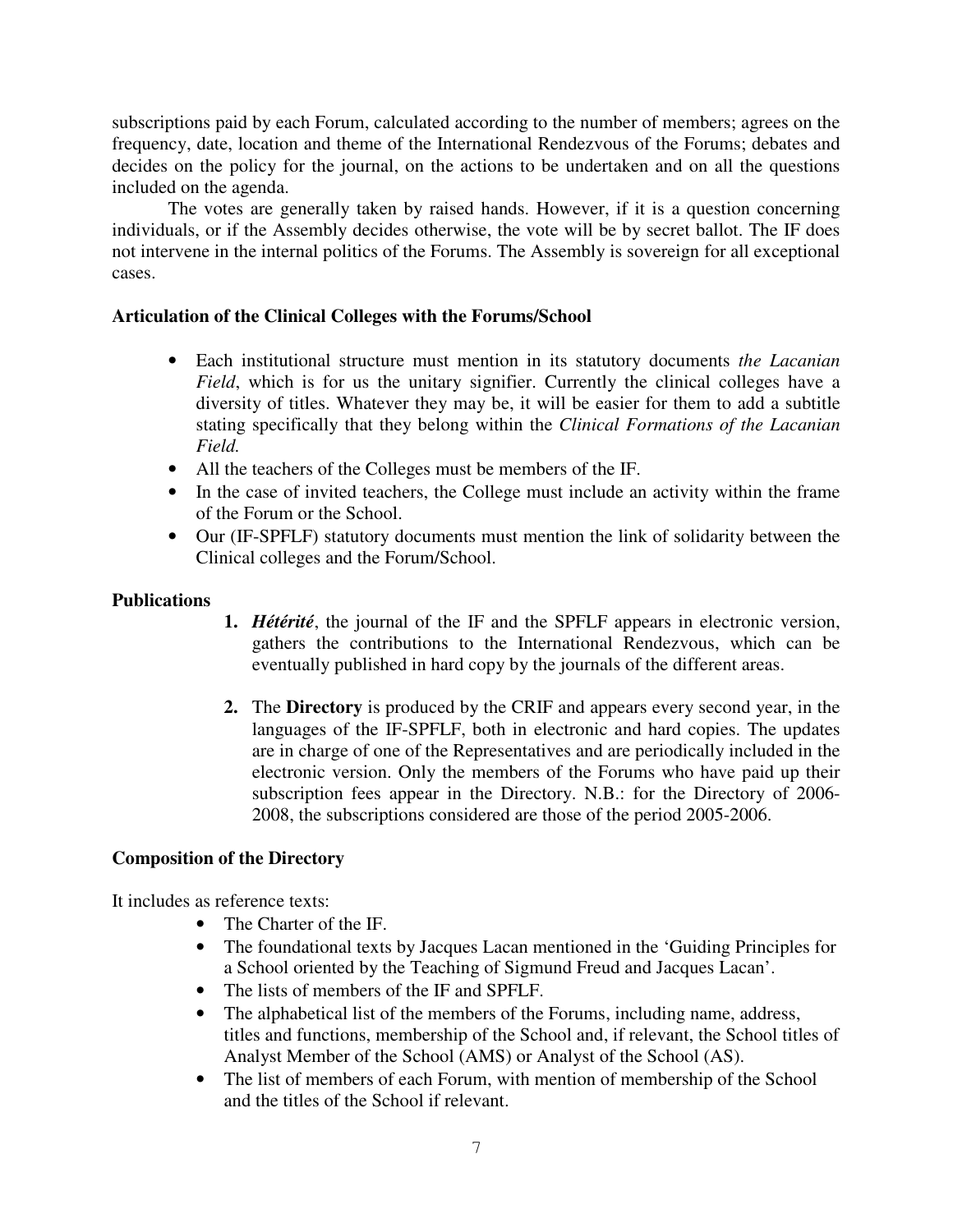subscriptions paid by each Forum, calculated according to the number of members; agrees on the frequency, date, location and theme of the International Rendezvous of the Forums; debates and decides on the policy for the journal, on the actions to be undertaken and on all the questions included on the agenda.

The votes are generally taken by raised hands. However, if it is a question concerning individuals, or if the Assembly decides otherwise, the vote will be by secret ballot. The IF does not intervene in the internal politics of the Forums. The Assembly is sovereign for all exceptional cases.

# **Articulation of the Clinical Colleges with the Forums/School**

- Each institutional structure must mention in its statutory documents *the Lacanian Field*, which is for us the unitary signifier. Currently the clinical colleges have a diversity of titles. Whatever they may be, it will be easier for them to add a subtitle stating specifically that they belong within the *Clinical Formations of the Lacanian Field.*
- All the teachers of the Colleges must be members of the IF.
- In the case of invited teachers, the College must include an activity within the frame of the Forum or the School.
- Our (IF-SPFLF) statutory documents must mention the link of solidarity between the Clinical colleges and the Forum/School.

# **Publications**

- **1.** *Hétérité*, the journal of the IF and the SPFLF appears in electronic version, gathers the contributions to the International Rendezvous, which can be eventually published in hard copy by the journals of the different areas.
- **2.** The **Directory** is produced by the CRIF and appears every second year, in the languages of the IF-SPFLF, both in electronic and hard copies. The updates are in charge of one of the Representatives and are periodically included in the electronic version. Only the members of the Forums who have paid up their subscription fees appear in the Directory. N.B.: for the Directory of 2006- 2008, the subscriptions considered are those of the period 2005-2006.

# **Composition of the Directory**

It includes as reference texts:

- The Charter of the IF.
- The foundational texts by Jacques Lacan mentioned in the 'Guiding Principles for a School oriented by the Teaching of Sigmund Freud and Jacques Lacan'.
- The lists of members of the IF and SPFLF.
- The alphabetical list of the members of the Forums, including name, address, titles and functions, membership of the School and, if relevant, the School titles of Analyst Member of the School (AMS) or Analyst of the School (AS).
- The list of members of each Forum, with mention of membership of the School and the titles of the School if relevant.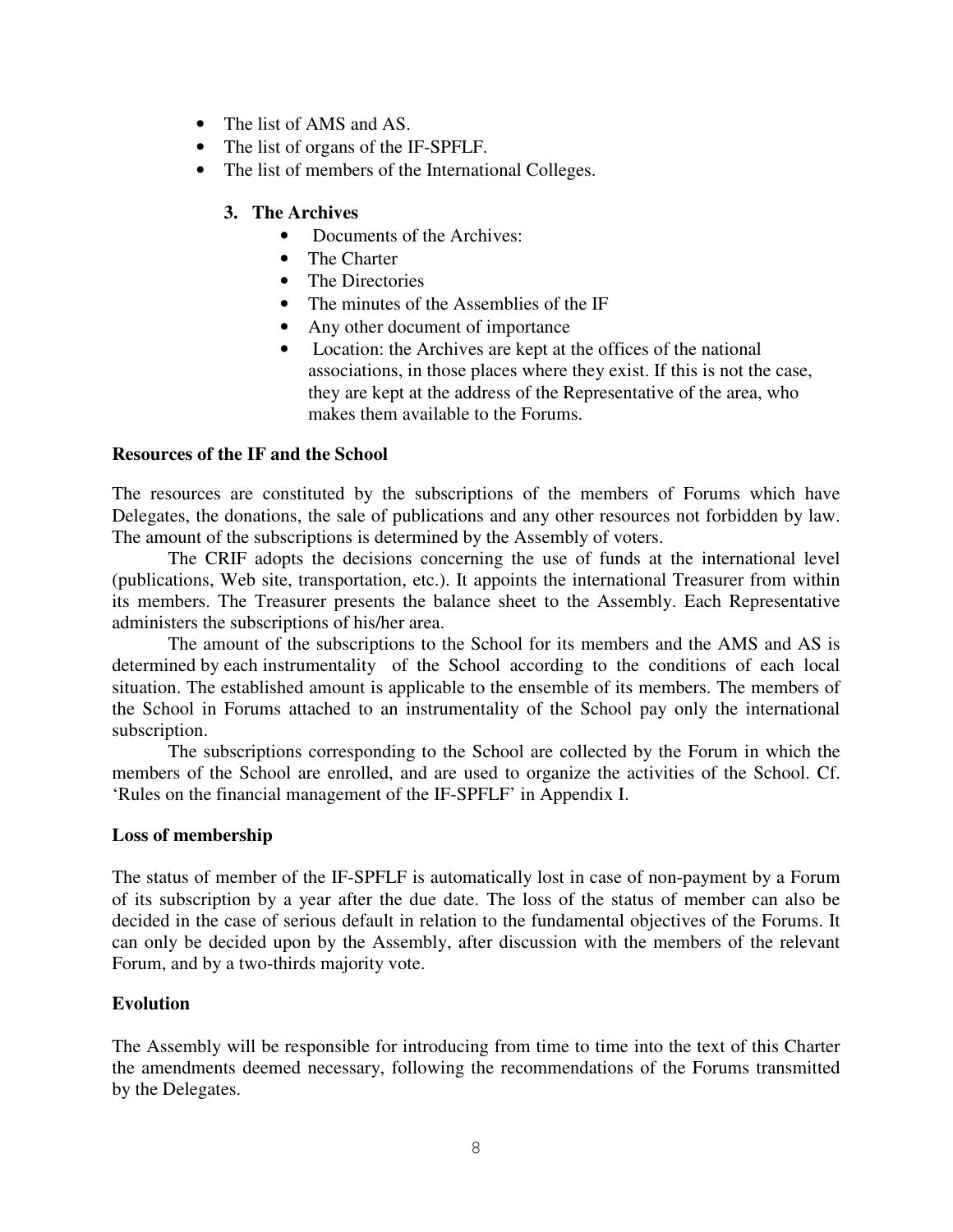- The list of AMS and AS.
- The list of organs of the IF-SPFLF.
- The list of members of the International Colleges.
	- **3. The Archives** 
		- Documents of the Archives:
		- The Charter
		- The Directories
		- The minutes of the Assemblies of the IF
		- Any other document of importance
		- Location: the Archives are kept at the offices of the national associations, in those places where they exist. If this is not the case, they are kept at the address of the Representative of the area, who makes them available to the Forums.

# **Resources of the IF and the School**

The resources are constituted by the subscriptions of the members of Forums which have Delegates, the donations, the sale of publications and any other resources not forbidden by law. The amount of the subscriptions is determined by the Assembly of voters.

The CRIF adopts the decisions concerning the use of funds at the international level (publications, Web site, transportation, etc.). It appoints the international Treasurer from within its members. The Treasurer presents the balance sheet to the Assembly. Each Representative administers the subscriptions of his/her area.

The amount of the subscriptions to the School for its members and the AMS and AS is determined by each instrumentality of the School according to the conditions of each local situation. The established amount is applicable to the ensemble of its members. The members of the School in Forums attached to an instrumentality of the School pay only the international subscription.

The subscriptions corresponding to the School are collected by the Forum in which the members of the School are enrolled, and are used to organize the activities of the School. Cf. 'Rules on the financial management of the IF-SPFLF' in Appendix I.

### **Loss of membership**

The status of member of the IF-SPFLF is automatically lost in case of non-payment by a Forum of its subscription by a year after the due date. The loss of the status of member can also be decided in the case of serious default in relation to the fundamental objectives of the Forums. It can only be decided upon by the Assembly, after discussion with the members of the relevant Forum, and by a two-thirds majority vote.

# **Evolution**

The Assembly will be responsible for introducing from time to time into the text of this Charter the amendments deemed necessary, following the recommendations of the Forums transmitted by the Delegates.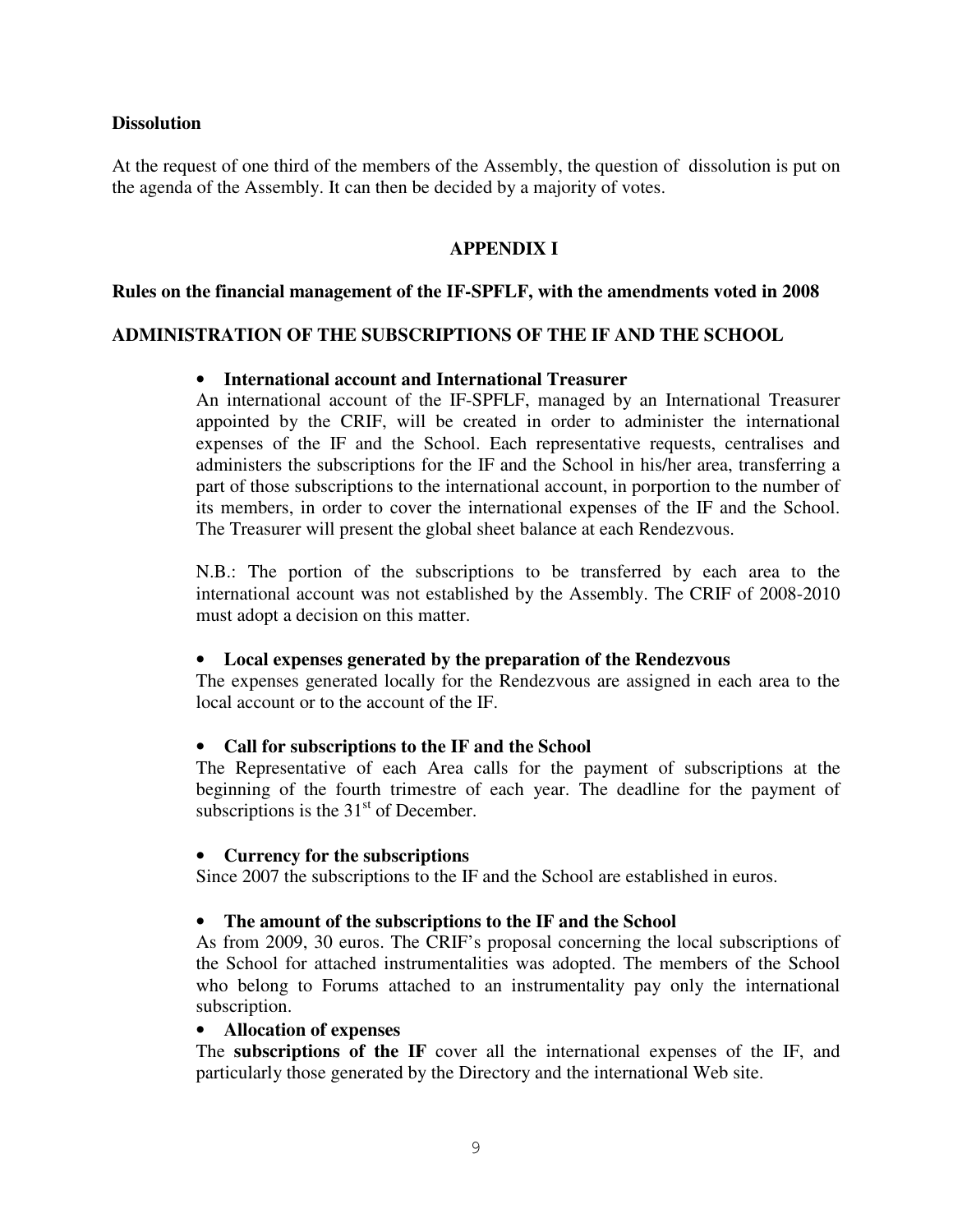# **Dissolution**

At the request of one third of the members of the Assembly, the question of dissolution is put on the agenda of the Assembly. It can then be decided by a majority of votes.

# **APPENDIX I**

### **Rules on the financial management of the IF-SPFLF, with the amendments voted in 2008**

### **ADMINISTRATION OF THE SUBSCRIPTIONS OF THE IF AND THE SCHOOL**

### • **International account and International Treasurer**

An international account of the IF-SPFLF, managed by an International Treasurer appointed by the CRIF, will be created in order to administer the international expenses of the IF and the School. Each representative requests, centralises and administers the subscriptions for the IF and the School in his/her area, transferring a part of those subscriptions to the international account, in porportion to the number of its members, in order to cover the international expenses of the IF and the School. The Treasurer will present the global sheet balance at each Rendezvous.

N.B.: The portion of the subscriptions to be transferred by each area to the international account was not established by the Assembly. The CRIF of 2008-2010 must adopt a decision on this matter.

# • **Local expenses generated by the preparation of the Rendezvous**

The expenses generated locally for the Rendezvous are assigned in each area to the local account or to the account of the IF.

### • **Call for subscriptions to the IF and the School**

The Representative of each Area calls for the payment of subscriptions at the beginning of the fourth trimestre of each year. The deadline for the payment of subscriptions is the  $31<sup>st</sup>$  of December.

### • **Currency for the subscriptions**

Since 2007 the subscriptions to the IF and the School are established in euros.

### • **The amount of the subscriptions to the IF and the School**

As from 2009, 30 euros. The CRIF's proposal concerning the local subscriptions of the School for attached instrumentalities was adopted. The members of the School who belong to Forums attached to an instrumentality pay only the international subscription.

### • **Allocation of expenses**

The **subscriptions of the IF** cover all the international expenses of the IF, and particularly those generated by the Directory and the international Web site.